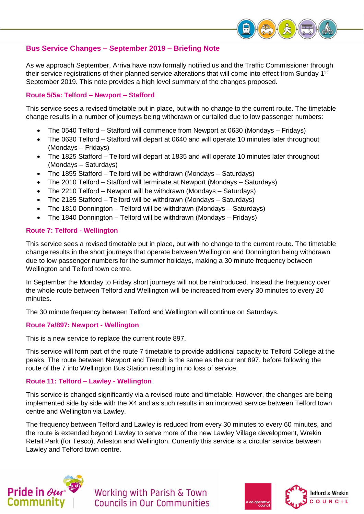

# **Bus Service Changes – September 2019 – Briefing Note**

As we approach September, Arriva have now formally notified us and the Traffic Commissioner through their service registrations of their planned service alterations that will come into effect from Sunday 1<sup>st</sup> September 2019. This note provides a high level summary of the changes proposed.

# **Route 5/5a: Telford – Newport – Stafford**

This service sees a revised timetable put in place, but with no change to the current route. The timetable change results in a number of journeys being withdrawn or curtailed due to low passenger numbers:

- The 0540 Telford Stafford will commence from Newport at 0630 (Mondays Fridays)
- The 0630 Telford Stafford will depart at 0640 and will operate 10 minutes later throughout (Mondays – Fridays)
- The 1825 Stafford Telford will depart at 1835 and will operate 10 minutes later throughout (Mondays – Saturdays)
- The 1855 Stafford Telford will be withdrawn (Mondays Saturdays)
- The 2010 Telford Stafford will terminate at Newport (Mondays Saturdays)
- The 2210 Telford Newport will be withdrawn (Mondays Saturdays)
- The 2135 Stafford Telford will be withdrawn (Mondays Saturdays)
- The 1810 Donnington Telford will be withdrawn (Mondays Saturdays)
- The 1840 Donnington Telford will be withdrawn (Mondays Fridays)

# **Route 7: Telford - Wellington**

This service sees a revised timetable put in place, but with no change to the current route. The timetable change results in the short journeys that operate between Wellington and Donnington being withdrawn due to low passenger numbers for the summer holidays, making a 30 minute frequency between Wellington and Telford town centre.

In September the Monday to Friday short journeys will not be reintroduced. Instead the frequency over the whole route between Telford and Wellington will be increased from every 30 minutes to every 20 minutes.

The 30 minute frequency between Telford and Wellington will continue on Saturdays.

#### **Route 7a/897: Newport - Wellington**

This is a new service to replace the current route 897.

This service will form part of the route 7 timetable to provide additional capacity to Telford College at the peaks. The route between Newport and Trench is the same as the current 897, before following the route of the 7 into Wellington Bus Station resulting in no loss of service.

### **Route 11: Telford – Lawley - Wellington**

This service is changed significantly via a revised route and timetable. However, the changes are being implemented side by side with the X4 and as such results in an improved service between Telford town centre and Wellington via Lawley.

The frequency between Telford and Lawley is reduced from every 30 minutes to every 60 minutes, and the route is extended beyond Lawley to serve more of the new Lawley Village development, Wrekin Retail Park (for Tesco), Arleston and Wellington. Currently this service is a circular service between Lawley and Telford town centre.